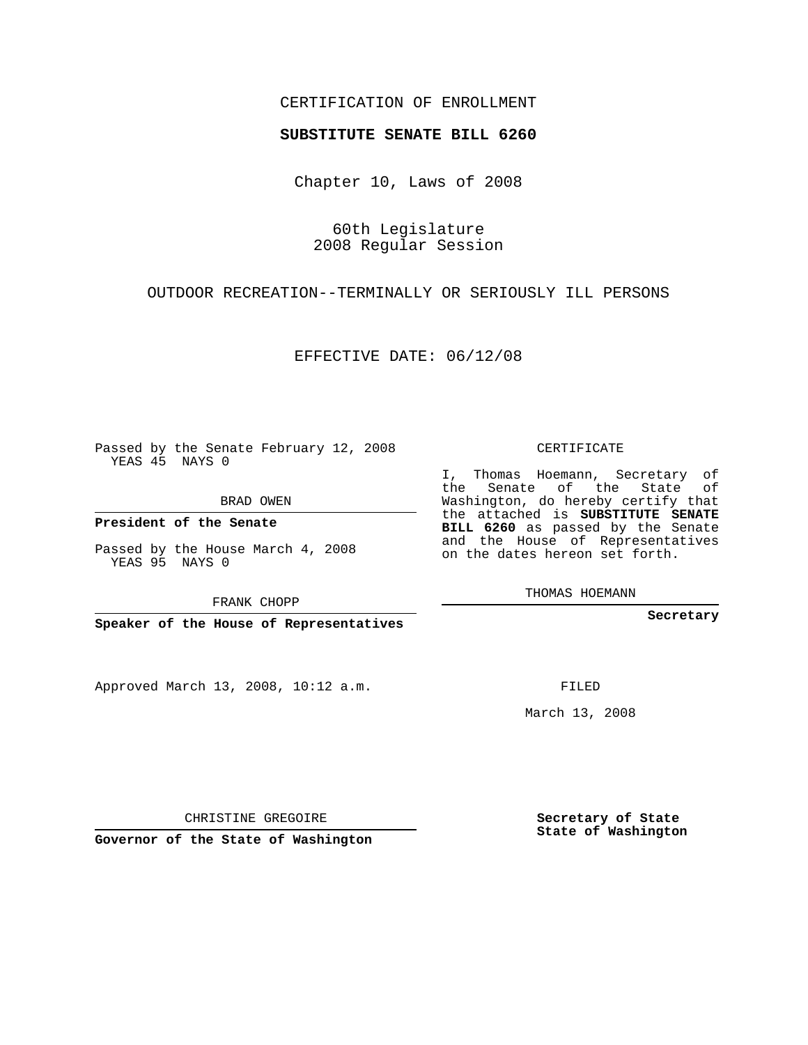## CERTIFICATION OF ENROLLMENT

### **SUBSTITUTE SENATE BILL 6260**

Chapter 10, Laws of 2008

60th Legislature 2008 Regular Session

OUTDOOR RECREATION--TERMINALLY OR SERIOUSLY ILL PERSONS

EFFECTIVE DATE: 06/12/08

Passed by the Senate February 12, 2008 YEAS 45 NAYS 0

BRAD OWEN

**President of the Senate**

Passed by the House March 4, 2008 YEAS 95 NAYS 0

FRANK CHOPP

**Speaker of the House of Representatives**

Approved March 13, 2008, 10:12 a.m.

CERTIFICATE

I, Thomas Hoemann, Secretary of the Senate of the State of Washington, do hereby certify that the attached is **SUBSTITUTE SENATE BILL 6260** as passed by the Senate and the House of Representatives on the dates hereon set forth.

THOMAS HOEMANN

**Secretary**

FILED

March 13, 2008

**Secretary of State State of Washington**

CHRISTINE GREGOIRE

**Governor of the State of Washington**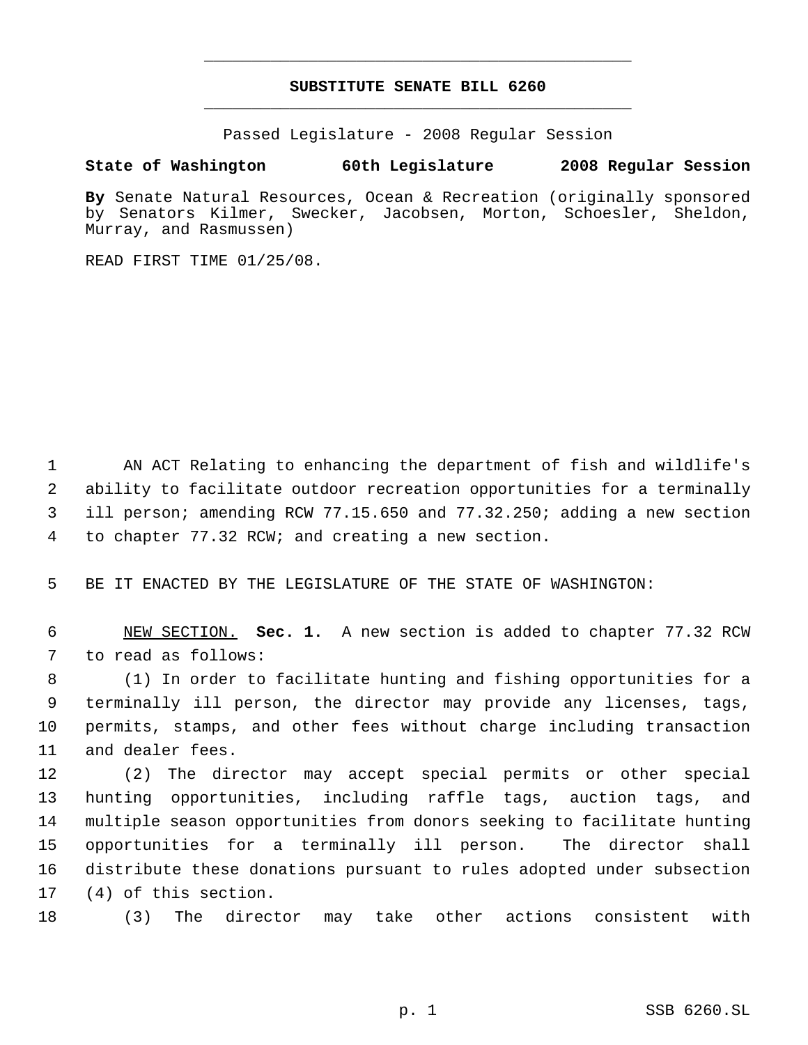# **SUBSTITUTE SENATE BILL 6260** \_\_\_\_\_\_\_\_\_\_\_\_\_\_\_\_\_\_\_\_\_\_\_\_\_\_\_\_\_\_\_\_\_\_\_\_\_\_\_\_\_\_\_\_\_

\_\_\_\_\_\_\_\_\_\_\_\_\_\_\_\_\_\_\_\_\_\_\_\_\_\_\_\_\_\_\_\_\_\_\_\_\_\_\_\_\_\_\_\_\_

Passed Legislature - 2008 Regular Session

### **State of Washington 60th Legislature 2008 Regular Session**

**By** Senate Natural Resources, Ocean & Recreation (originally sponsored by Senators Kilmer, Swecker, Jacobsen, Morton, Schoesler, Sheldon, Murray, and Rasmussen)

READ FIRST TIME 01/25/08.

 AN ACT Relating to enhancing the department of fish and wildlife's ability to facilitate outdoor recreation opportunities for a terminally ill person; amending RCW 77.15.650 and 77.32.250; adding a new section to chapter 77.32 RCW; and creating a new section.

BE IT ENACTED BY THE LEGISLATURE OF THE STATE OF WASHINGTON:

 NEW SECTION. **Sec. 1.** A new section is added to chapter 77.32 RCW to read as follows:

 (1) In order to facilitate hunting and fishing opportunities for a terminally ill person, the director may provide any licenses, tags, permits, stamps, and other fees without charge including transaction and dealer fees.

 (2) The director may accept special permits or other special hunting opportunities, including raffle tags, auction tags, and multiple season opportunities from donors seeking to facilitate hunting opportunities for a terminally ill person. The director shall distribute these donations pursuant to rules adopted under subsection (4) of this section.

(3) The director may take other actions consistent with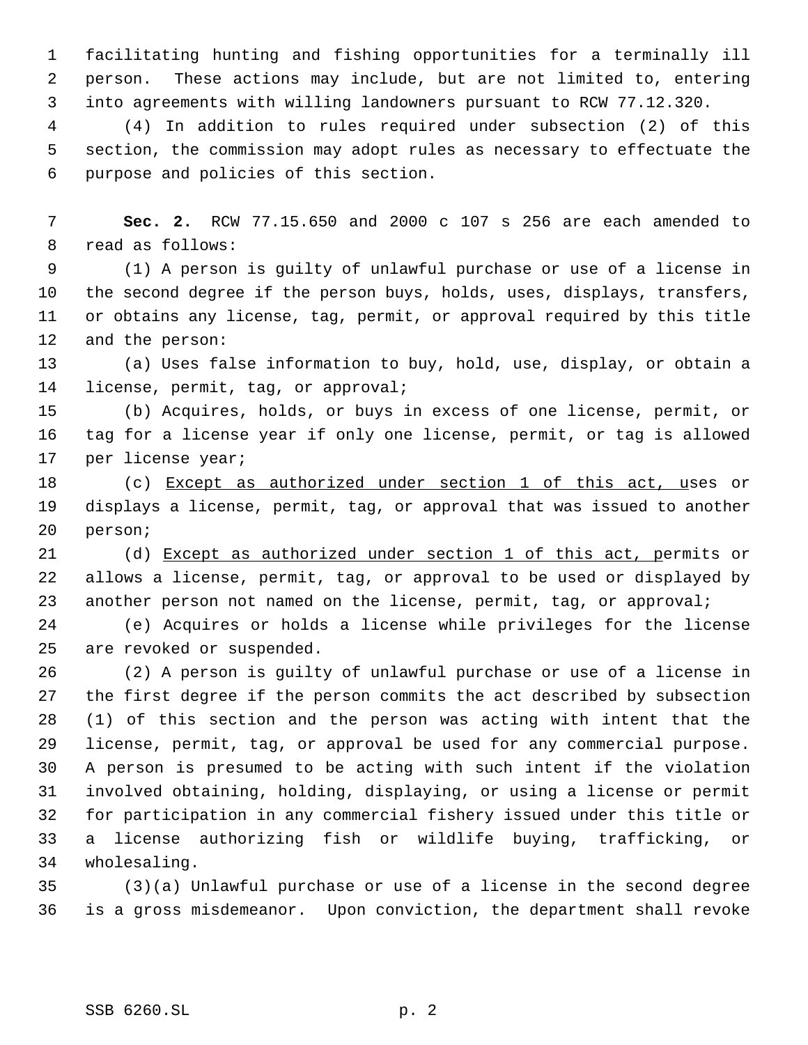facilitating hunting and fishing opportunities for a terminally ill person. These actions may include, but are not limited to, entering into agreements with willing landowners pursuant to RCW 77.12.320.

 (4) In addition to rules required under subsection (2) of this section, the commission may adopt rules as necessary to effectuate the purpose and policies of this section.

 **Sec. 2.** RCW 77.15.650 and 2000 c 107 s 256 are each amended to read as follows:

 (1) A person is guilty of unlawful purchase or use of a license in the second degree if the person buys, holds, uses, displays, transfers, or obtains any license, tag, permit, or approval required by this title and the person:

 (a) Uses false information to buy, hold, use, display, or obtain a license, permit, tag, or approval;

 (b) Acquires, holds, or buys in excess of one license, permit, or tag for a license year if only one license, permit, or tag is allowed per license year;

 (c) Except as authorized under section 1 of this act, uses or displays a license, permit, tag, or approval that was issued to another person;

 (d) Except as authorized under section 1 of this act, permits or allows a license, permit, tag, or approval to be used or displayed by 23 another person not named on the license, permit, tag, or approval;

 (e) Acquires or holds a license while privileges for the license are revoked or suspended.

 (2) A person is guilty of unlawful purchase or use of a license in the first degree if the person commits the act described by subsection (1) of this section and the person was acting with intent that the license, permit, tag, or approval be used for any commercial purpose. A person is presumed to be acting with such intent if the violation involved obtaining, holding, displaying, or using a license or permit for participation in any commercial fishery issued under this title or a license authorizing fish or wildlife buying, trafficking, or wholesaling.

 (3)(a) Unlawful purchase or use of a license in the second degree is a gross misdemeanor. Upon conviction, the department shall revoke